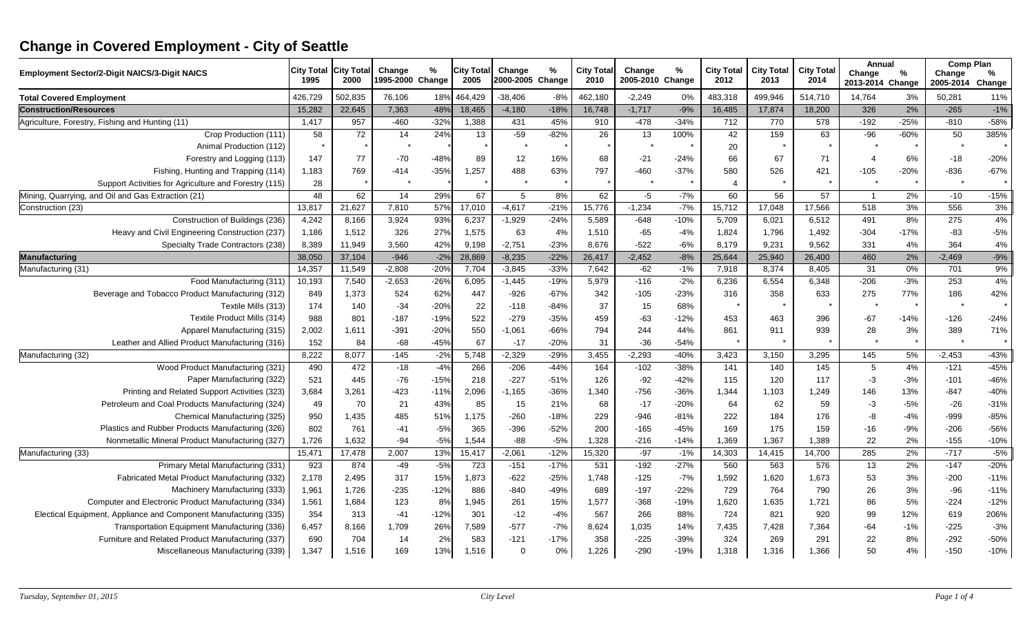## **Change in Covered Employment - City of Seattle**

| <b>Employment Sector/2-Digit NAICS/3-Digit NAICS</b>             | <b>City Total</b><br>1995 | <b>City Total</b><br>2000 | Change<br>1995-2000 Change | $\%$   | <b>City Total</b><br>2005 | Change<br>2000-2005 Change | $\%$   | <b>City Total</b><br>2010 | Change<br>2005-2010 Change | $\%$   | <b>City Total</b><br>2012 | <b>City Total</b><br>2013 | <b>City Total</b><br>2014 | Annual<br>Change<br>2013-2014 Change | %      | <b>Comp Plan</b><br>Change<br>2005-2014 | %<br>Change |
|------------------------------------------------------------------|---------------------------|---------------------------|----------------------------|--------|---------------------------|----------------------------|--------|---------------------------|----------------------------|--------|---------------------------|---------------------------|---------------------------|--------------------------------------|--------|-----------------------------------------|-------------|
| <b>Total Covered Employment</b>                                  | 426,729                   | 502,835                   | 76,106                     | 18%    | 464,429                   | 38,406                     | $-8%$  | 462,180                   | $-2,249$                   | 0%     | 483,318                   | 499,946                   | 514,710                   | 14,764                               | 3%     | 50,281                                  | 11%         |
| <b>Construction/Resources</b>                                    | 15,282                    | 22,645                    | 7,363                      | 48%    | 18,465                    | $-4,180$                   | $-18%$ | 16,748                    | $-1,717$                   | $-9%$  | 16,485                    | 17,874                    | 18,200                    | 326                                  | 2%     | $-265$                                  | $-1%$       |
| Agriculture, Forestry, Fishing and Hunting (11)                  | 1,417                     | 957                       | $-460$                     | $-32%$ | 1,388                     | 431                        | 45%    | 910                       | $-478$                     | $-34%$ | 712                       | 770                       | 578                       | $-192$                               | $-25%$ | $-810$                                  | $-58%$      |
| Crop Production (111)                                            | 58                        | 72                        | 14                         | 24%    | 13                        | $-59$                      | $-82%$ | 26                        | 13                         | 100%   | 42                        | 159                       | 63                        | $-96$                                | $-60%$ | 50                                      | 385%        |
| Animal Production (112)                                          |                           |                           |                            |        |                           |                            |        |                           |                            |        | 20                        |                           |                           |                                      |        |                                         |             |
| Forestry and Logging (113)                                       | 147                       | 77                        | $-70$                      | $-48%$ | 89                        | 12                         | 16%    | 68                        | $-21$                      | $-24%$ | 66                        | 67                        | 71                        | $\overline{4}$                       | 6%     | $-18$                                   | $-20%$      |
| Fishing, Hunting and Trapping (114)                              | 1,183                     | 769                       | $-414$                     | $-35%$ | 1,257                     | 488                        | 63%    | 797                       | $-460$                     | $-37%$ | 580                       | 526                       | 421                       | $-105$                               | $-20%$ | $-836$                                  | $-67%$      |
| Support Activities for Agriculture and Forestry (115)            | 28                        |                           |                            |        |                           |                            |        |                           |                            |        |                           |                           |                           |                                      |        | $\star$                                 |             |
| Mining, Quarrying, and Oil and Gas Extraction (21)               | 48                        | 62                        | 14                         | 29%    | 67                        | 5                          | 8%     | 62                        | $-5$                       | $-7%$  | 60                        | 56                        | 57                        | $\overline{1}$                       | 2%     | $-10$                                   | $-15%$      |
| Construction (23)                                                | 13,817                    | 21,627                    | 7,810                      | 57%    | 17,010                    | $-4,617$                   | $-21%$ | 15,776                    | $-1,234$                   | $-7%$  | 15,712                    | 17,048                    | 17,566                    | 518                                  | 3%     | 556                                     | 3%          |
| Construction of Buildings (236)                                  | 4,242                     | 8,166                     | 3,924                      | 93%    | 6,237                     | $-1,929$                   | $-24%$ | 5,589                     | $-648$                     | $-10%$ | 5,709                     | 6,021                     | 6,512                     | 491                                  | 8%     | 275                                     | 4%          |
| Heavy and Civil Engineering Construction (237)                   | 1,186                     | 1,512                     | 326                        | 27%    | 1,575                     | 63                         | 4%     | 1,510                     | $-65$                      | $-4%$  | 1,824                     | 1,796                     | 1,492                     | $-304$                               | $-17%$ | $-83$                                   | $-5%$       |
| Specialty Trade Contractors (238)                                | 8,389                     | 11,949                    | 3,560                      | 42%    | 9,198                     | $-2,751$                   | $-23%$ | 8,676                     | $-522$                     | $-6%$  | 8,179                     | 9,231                     | 9,562                     | 331                                  | 4%     | 364                                     | 4%          |
| Manufacturing                                                    | 38,050                    | 37,104                    | $-946$                     | $-2%$  | 28,869                    | $-8,235$                   | $-22%$ | 26,417                    | $-2,452$                   | $-8%$  | 25,644                    | 25,940                    | 26,400                    | 460                                  | 2%     | $-2,469$                                | $-9%$       |
| Manufacturing (31)                                               | 14,357                    | 11,549                    | $-2,808$                   | $-20%$ | 7,704                     | $-3,845$                   | $-33%$ | 7,642                     | $-62$                      | $-1%$  | 7,918                     | 8,374                     | 8,405                     | 31                                   | 0%     | 701                                     | 9%          |
| Food Manufacturing (311)                                         | 10,193                    | 7,540                     | $-2,653$                   | $-26%$ | 6,095                     | $-1,445$                   | $-19%$ | 5,979                     | $-116$                     | $-2%$  | 6,236                     | 6,554                     | 6,348                     | $-206$                               | $-3%$  | 253                                     | 4%          |
| Beverage and Tobacco Product Manufacturing (312)                 | 849                       | 1,373                     | 524                        | 62%    | 447                       | $-926$                     | $-67%$ | 342                       | $-105$                     | $-23%$ | 316                       | 358                       | 633                       | 275                                  | 77%    | 186                                     | 42%         |
| Textile Mills (313)                                              | 174                       | 140                       | $-34$                      | $-20%$ | 22                        | $-118$                     | $-84%$ | 37                        | 15                         | 68%    |                           |                           |                           |                                      |        | $\star$                                 |             |
| Textile Product Mills (314)                                      | 988                       | 801                       | $-187$                     | $-19%$ | 522                       | $-279$                     | $-35%$ | 459                       | $-63$                      | $-12%$ | 453                       | 463                       | 396                       | $-67$                                | $-14%$ | $-126$                                  | $-24%$      |
| Apparel Manufacturing (315)                                      | 2,002                     | 1,611                     | $-391$                     | $-20%$ | 550                       | $-1,061$                   | $-66%$ | 794                       | 244                        | 44%    | 861                       | 911                       | 939                       | 28                                   | 3%     | 389                                     | 71%         |
| Leather and Allied Product Manufacturing (316)                   | 152                       | 84                        | $-68$                      | $-45%$ | 67                        | $-17$                      | $-20%$ | 31                        | $-36$                      | $-54%$ |                           |                           |                           |                                      |        | $\star$                                 |             |
| Manufacturing (32)                                               | 8,222                     | 8,077                     | $-145$                     | $-2%$  | 5,748                     | $-2,329$                   | $-29%$ | 3,455                     | $-2,293$                   | $-40%$ | 3,423                     | 3,150                     | 3,295                     | 145                                  | 5%     | $-2,453$                                | $-43%$      |
| Wood Product Manufacturing (321)                                 | 490                       | 472                       | $-18$                      | $-4%$  | 266                       | $-206$                     | $-44%$ | 164                       | $-102$                     | $-38%$ | 141                       | 140                       | 145                       | 5                                    | 4%     | $-121$                                  | $-45%$      |
| Paper Manufacturing (322)                                        | 521                       | 445                       | $-76$                      | $-15%$ | 218                       | $-227$                     | $-51%$ | 126                       | $-92$                      | $-42%$ | 115                       | 120                       | 117                       | $-3$                                 | $-3%$  | $-101$                                  | $-46%$      |
| Printing and Related Support Activities (323)                    | 3,684                     | 3,261                     | $-423$                     | $-11%$ | 2,096                     | $-1,165$                   | $-36%$ | 1,340                     | $-756$                     | $-36%$ | 1,344                     | 1,103                     | 1,249                     | 146                                  | 13%    | $-847$                                  | $-40%$      |
| Petroleum and Coal Products Manufacturing (324)                  | 49                        | 70                        | 21                         | 43%    | 85                        | 15                         | 21%    | 68                        | $-17$                      | $-20%$ | 64                        | 62                        | 59                        | $-3$                                 | $-5%$  | $-26$                                   | $-31%$      |
| Chemical Manufacturing (325)                                     | 950                       | 1,435                     | 485                        | 51%    | 1,175                     | $-260$                     | $-18%$ | 229                       | $-946$                     | $-81%$ | 222                       | 184                       | 176                       | -8                                   | $-4%$  | $-999$                                  | $-85%$      |
| Plastics and Rubber Products Manufacturing (326)                 | 802                       | 761                       | $-41$                      | $-5%$  | 365                       | $-396$                     | $-52%$ | 200                       | $-165$                     | $-45%$ | 169                       | 175                       | 159                       | $-16$                                | $-9%$  | $-206$                                  | $-56%$      |
| Nonmetallic Mineral Product Manufacturing (327)                  | 1,726                     | 1,632                     | $-94$                      | $-5%$  | 1,544                     | $-88$                      | $-5%$  | 1,328                     | $-216$                     | $-14%$ | 1,369                     | 1,367                     | 1,389                     | 22                                   | 2%     | $-155$                                  | $-10%$      |
| Manufacturing (33)                                               | 15,471                    | 17,478                    | 2,007                      | 13%    | 15,417                    | $-2,061$                   | $-12%$ | 15,320                    | $-97$                      | $-1%$  | 14,303                    | 14,415                    | 14,700                    | 285                                  | 2%     | $-717$                                  | $-5%$       |
| Primary Metal Manufacturing (331)                                | 923                       | 874                       | $-49$                      | $-5%$  | 723                       | $-151$                     | $-17%$ | 531                       | $-192$                     | $-27%$ | 560                       | 563                       | 576                       | 13                                   | 2%     | $-147$                                  | $-20%$      |
| Fabricated Metal Product Manufacturing (332)                     | 2,178                     | 2,495                     | 317                        | 15%    | 1,873                     | $-622$                     | $-25%$ | 1,748                     | $-125$                     | $-7%$  | 1,592                     | 1,620                     | 1,673                     | 53                                   | 3%     | $-200$                                  | $-11%$      |
| Machinery Manufacturing (333)                                    | 1,961                     | 1,726                     | $-235$                     | $-12%$ | 886                       | $-840$                     | $-49%$ | 689                       | $-197$                     | $-22%$ | 729                       | 764                       | 790                       | 26                                   | 3%     | $-96$                                   | $-11%$      |
| Computer and Electronic Product Manufacturing (334)              | 1,561                     | 1,684                     | 123                        | 8%     | 1,945                     | 261                        | 15%    | 1,577                     | $-368$                     | $-19%$ | 1,620                     | 1,635                     | 1,721                     | 86                                   | 5%     | $-224$                                  | $-12%$      |
| Electical Equipment, Appliance and Component Manufacturing (335) | 354                       | 313                       | $-41$                      | $-12%$ | 301                       | $-12$                      | $-4%$  | 567                       | 266                        | 88%    | 724                       | 821                       | 920                       | 99                                   | 12%    | 619                                     | 206%        |
| Transportation Equipment Manufacturing (336)                     | 6,457                     | 8,166                     | 1,709                      | 26%    | 7,589                     | $-577$                     | $-7%$  | 8,624                     | 1,035                      | 14%    | 7,435                     | 7,428                     | 7,364                     | $-64$                                | $-1%$  | $-225$                                  | $-3%$       |
| Furniture and Related Product Manufacturing (337)                | 690                       | 704                       | 14                         | 2%     | 583                       | $-121$                     | $-17%$ | 358                       | $-225$                     | $-39%$ | 324                       | 269                       | 291                       | 22                                   | 8%     | $-292$                                  | $-50%$      |
| Miscellaneous Manufacturing (339)                                | 1,347                     | 1,516                     | 169                        | 13%    | 1,516                     | $\Omega$                   | 0%     | 1,226                     | $-290$                     | $-19%$ | 1,318                     | 1,316                     | 1,366                     | 50                                   | 4%     | $-150$                                  | $-10%$      |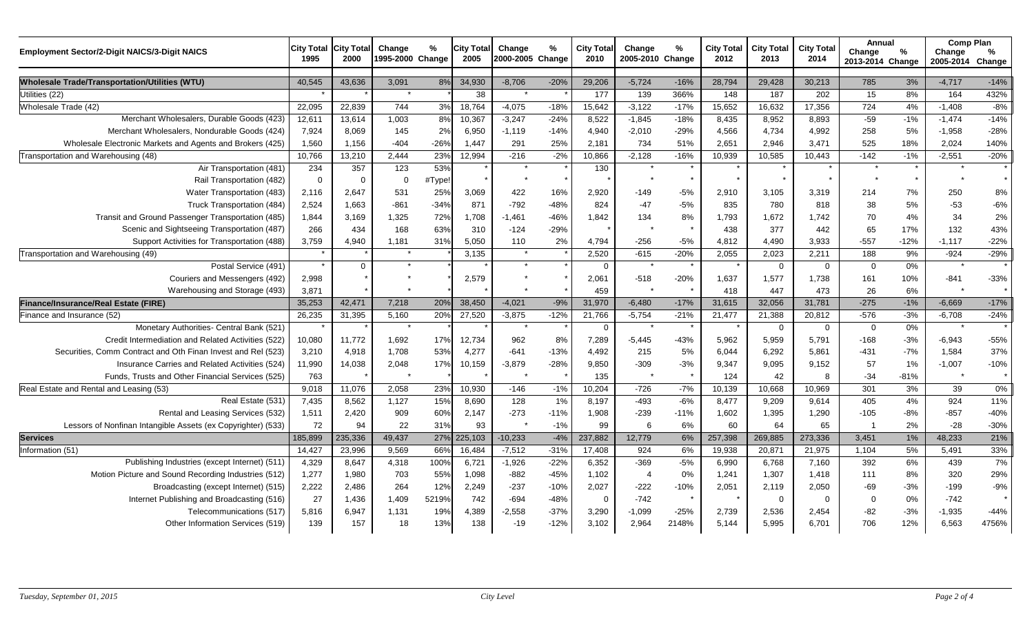| <b>Employment Sector/2-Digit NAICS/3-Digit NAICS</b>         | <b>City Total</b><br>1995 | <b>City Total</b><br>2000 | Change<br>1995-2000 Change | %      | <b>City Total</b><br>2005 | Change<br>2000-2005 Change | %      | <b>City Total</b><br>2010 | Change<br>2005-2010 Change | %       | <b>City Total</b><br>2012 | <b>City Total</b><br>2013 | <b>City Total</b><br>2014 | Annual<br>Change<br>2013-2014 Change | $\%$    | <b>Comp Plan</b><br>Change<br>2005-2014 | $\%$<br>Change |
|--------------------------------------------------------------|---------------------------|---------------------------|----------------------------|--------|---------------------------|----------------------------|--------|---------------------------|----------------------------|---------|---------------------------|---------------------------|---------------------------|--------------------------------------|---------|-----------------------------------------|----------------|
| <b>Wholesale Trade/Transportation/Utilities (WTU)</b>        | 40,545                    | 43,636                    | 3,091                      | 8%     | 34,930                    | $-8,706$                   | $-20%$ | 29,206                    | $-5,724$                   | $-16%$  | 28,794                    | 29,428                    | 30,213                    | 785                                  | 3%      | $-4,717$                                | $-14%$         |
| Utilities (22)                                               |                           |                           | $\star$                    |        | 38                        | $\star$                    |        | 177                       | 139                        | 366%    | 148                       | 187                       | 202                       | 15                                   | 8%      | 164                                     | 432%           |
| Wholesale Trade (42)                                         | 22,095                    | 22,839                    | 744                        | 3%     | 18,764                    | $-4,075$                   | $-18%$ | 15,642                    | $-3,122$                   | $-17%$  | 15,652                    | 16,632                    | 17,356                    | 724                                  | 4%      | $-1,408$                                | $-8%$          |
| Merchant Wholesalers, Durable Goods (423)                    | 12,611                    | 13,614                    | 1,003                      | 8%     | 10,367                    | $-3,247$                   | $-24%$ | 8,522                     | $-1,845$                   | $-18%$  | 8,435                     | 8,952                     | 8,893                     | $-59$                                | $-1%$   | $-1,474$                                | $-14%$         |
| Merchant Wholesalers, Nondurable Goods (424)                 | 7,924                     | 8,069                     | 145                        | 2%     | 6,950                     | $-1,119$                   | $-14%$ | 4,940                     | $-2,010$                   | $-29%$  | 4,566                     | 4.734                     | 4,992                     | 258                                  | 5%      | $-1,958$                                | $-28%$         |
| Wholesale Electronic Markets and Agents and Brokers (425)    | 1,560                     | 1,156                     | $-404$                     | $-26%$ | 1,447                     | 291                        | 25%    | 2,181                     | 734                        | 51%     | 2,651                     | 2,946                     | 3,471                     | 525                                  | 18%     | 2,024                                   | 140%           |
| Transportation and Warehousing (48)                          | 10,766                    | 13,210                    | 2.444                      | 23%    | 12,994                    | $-216$                     | $-2%$  | 10,866                    | $-2,128$                   | $-16%$  | 10,939                    | 10,585                    | 10,443                    | $-142$                               | $-1%$   | $-2,551$                                | $-20%$         |
| Air Transportation (481)                                     | 234                       | 357                       | 123                        | 53%    |                           | $\star$                    |        | 130                       |                            |         |                           |                           |                           | $\star$                              | $\star$ | $\star$                                 |                |
| Rail Transportation (482)                                    | $\Omega$                  | $\Omega$                  | $\Omega$                   | #Type! |                           |                            |        |                           |                            | $\star$ |                           | $\star$                   |                           | $\star$                              | $\star$ | $\star$                                 |                |
| Water Transportation (483)                                   | 2,116                     | 2,647                     | 531                        | 25%    | 3,069                     | 422                        | 16%    | 2,920                     | $-149$                     | $-5%$   | 2,910                     | 3,105                     | 3,319                     | 214                                  | 7%      | 250                                     | 8%             |
| Truck Transportation (484)                                   | 2,524                     | 1,663                     | $-861$                     | $-34%$ | 871                       | $-792$                     | $-48%$ | 824                       | $-47$                      | $-5%$   | 835                       | 780                       | 818                       | 38                                   | 5%      | $-53$                                   | $-6%$          |
| Transit and Ground Passenger Transportation (485)            | 1,844                     | 3,169                     | 1,325                      | 72%    | 1,708                     | $-1,461$                   | $-46%$ | 1,842                     | 134                        | 8%      | 1,793                     | 1,672                     | 1,742                     | 70                                   | 4%      | 34                                      | 2%             |
| Scenic and Sightseeing Transportation (487)                  | 266                       | 434                       | 168                        | 63%    | 310                       | $-124$                     | $-29%$ |                           |                            |         | 438                       | 377                       | 442                       | 65                                   | 17%     | 132                                     | 43%            |
| Support Activities for Transportation (488)                  | 3,759                     | 4,940                     | 1,181                      | 31%    | 5,050                     | 110                        | 2%     | 4,794                     | $-256$                     | $-5%$   | 4,812                     | 4,490                     | 3,933                     | $-557$                               | $-12%$  | $-1,117$                                | $-22%$         |
| Transportation and Warehousing (49)                          |                           |                           |                            |        | 3,135                     | $\star$                    |        | 2,520                     | $-615$                     | $-20%$  | 2,055                     | 2,023                     | 2,211                     | 188                                  | 9%      | $-924$                                  | $-29%$         |
| Postal Service (491)                                         | $\star$                   | $\Omega$                  | $\star$                    |        |                           | $\star$                    |        | $\Omega$                  |                            |         |                           | $\Omega$                  | $\Omega$                  | $\mathbf 0$                          | 0%      | $\star$                                 |                |
| Couriers and Messengers (492)                                | 2,998                     |                           |                            |        | 2,579                     |                            |        | 2,061                     | $-518$                     | $-20%$  | 1,637                     | 1,577                     | 1,738                     | 161                                  | 10%     | $-841$                                  | $-33%$         |
| Warehousing and Storage (493)                                | 3,871                     |                           |                            |        |                           |                            |        | 459                       |                            |         | 418                       | 447                       | 473                       | 26                                   | 6%      |                                         |                |
| Finance/Insurance/Real Estate (FIRE)                         | 35,253                    | 42,471                    | 7,218                      | 20%    | 38,450                    | $-4,021$                   | $-9%$  | 31,970                    | $-6,480$                   | $-17%$  | 31,615                    | 32,056                    | 31,781                    | $-275$                               | $-1%$   | $-6,669$                                | $-17%$         |
| Finance and Insurance (52)                                   | 26,235                    | 31,395                    | 5,160                      | 20%    | 27,520                    | $-3,875$                   | $-12%$ | 21,766                    | $-5,754$                   | $-21%$  | 21,477                    | 21,388                    | 20,812                    | $-576$                               | $-3%$   | $-6,708$                                | $-24%$         |
| Monetary Authorities- Central Bank (521)                     |                           |                           | $\star$                    |        |                           | $\star$                    |        | $\mathbf 0$               |                            | $\star$ |                           | $\mathbf 0$               | $\mathbf 0$               | $\mathbf 0$                          | 0%      | $\star$                                 |                |
| Credit Intermediation and Related Activities (522)           | 10,080                    | 11.772                    | 1,692                      | 17%    | 12,734                    | 962                        | 8%     | 7,289                     | $-5,445$                   | $-43%$  | 5,962                     | 5,959                     | 5,791                     | $-168$                               | $-3%$   | $-6,943$                                | $-55%$         |
| Securities, Comm Contract and Oth Finan Invest and Rel (523) | 3,210                     | 4,918                     | 1,708                      | 53%    | 4,277                     | $-641$                     | $-13%$ | 4,492                     | 215                        | 5%      | 6,044                     | 6,292                     | 5,861                     | $-431$                               | $-7%$   | 1,584                                   | 37%            |
| Insurance Carries and Related Activities (524)               | 11,990                    | 14,038                    | 2,048                      | 17%    | 10,159                    | $-3,879$                   | $-28%$ | 9,850                     | $-309$                     | $-3%$   | 9,347                     | 9.095                     | 9,152                     | 57                                   | 1%      | $-1,007$                                | $-10%$         |
| Funds, Trusts and Other Financial Services (525)             | 763                       |                           |                            |        |                           |                            |        | 135                       |                            | $\star$ | 124                       | 42                        | 8                         | $-34$                                | $-81%$  | $\star$                                 |                |
| Real Estate and Rental and Leasing (53)                      | 9,018                     | 11,076                    | 2,058                      | 23%    | 10,930                    | $-146$                     | $-1%$  | 10,204                    | $-726$                     | $-7%$   | 10,139                    | 10,668                    | 10,969                    | 301                                  | 3%      | 39                                      | 0%             |
| Real Estate (531)                                            | 7,435                     | 8,562                     | 1,127                      | 15%    | 8,690                     | 128                        | 1%     | 8,197                     | $-493$                     | $-6%$   | 8.477                     | 9.209                     | 9.614                     | 405                                  | 4%      | 924                                     | 11%            |
| Rental and Leasing Services (532)                            | 1,511                     | 2,420                     | 909                        | 60%    | 2,147                     | $-273$                     | $-11%$ | 1,908                     | $-239$                     | $-11%$  | 1,602                     | 1,395                     | 1,290                     | $-105$                               | $-8%$   | $-857$                                  | $-40%$         |
| Lessors of Nonfinan Intangible Assets (ex Copyrighter) (533) | 72                        | 94                        | 22                         | 31%    | 93                        |                            | $-1%$  | 99                        | 6                          | 6%      | 60                        | 64                        | 65                        | - 1                                  | 2%      | $-28$                                   | $-30%$         |
| <b>Services</b>                                              | 185,899                   | 235,336                   | 49,437                     | 27%    | 225,103                   | $-10,233$                  | $-4%$  | 237,882                   | 12,779                     | 6%      | 257,398                   | 269,885                   | 273,336                   | 3,451                                | 1%      | 48,233                                  | 21%            |
| Information (51)                                             | 14,427                    | 23,996                    | 9,569                      | 66%    | 16,484                    | $-7,512$                   | $-31%$ | 17,408                    | 924                        | 6%      | 19,938                    | 20,871                    | 21,975                    | 1,104                                | 5%      | 5,491                                   | 33%            |
| Publishing Industries (except Internet) (511)                | 4,329                     | 8,647                     | 4,318                      | 100%   | 6,721                     | $-1,926$                   | $-22%$ | 6,352                     | $-369$                     | $-5%$   | 6,990                     | 6,768                     | 7,160                     | 392                                  | 6%      | 439                                     | 7%             |
| Motion Picture and Sound Recording Industries (512)          | 1,277                     | 1,980                     | 703                        | 55%    | 1,098                     | $-882$                     | $-45%$ | 1,102                     | $\overline{4}$             | 0%      | 1,241                     | 1,307                     | 1,418                     | 111                                  | 8%      | 320                                     | 29%            |
| Broadcasting (except Internet) (515)                         | 2,222                     | 2,486                     | 264                        | 12%    | 2,249                     | $-237$                     | $-10%$ | 2,027                     | $-222$                     | $-10%$  | 2,051                     | 2,119                     | 2,050                     | $-69$                                | $-3%$   | $-199$                                  | $-9%$          |
| Internet Publishing and Broadcasting (516)                   | 27                        | 1,436                     | 1,409                      | 5219%  | 742                       | $-694$                     | $-48%$ | $\Omega$                  | $-742$                     |         |                           | $\mathbf 0$               | $\Omega$                  | $\mathbf 0$                          | 0%      | $-742$                                  |                |
| Telecommunications (517)                                     | 5,816                     | 6,947                     | 1,131                      | 19%    | 4,389                     | $-2,558$                   | $-37%$ | 3,290                     | $-1,099$                   | $-25%$  | 2,739                     | 2,536                     | 2,454                     | $-82$                                | $-3%$   | $-1,935$                                | $-44%$         |
| Other Information Services (519)                             | 139                       | 157                       | 18                         | 13%    | 138                       | $-19$                      | $-12%$ | 3,102                     | 2,964                      | 2148%   | 5,144                     | 5.995                     | 6,701                     | 706                                  | 12%     | 6,563                                   | 4756%          |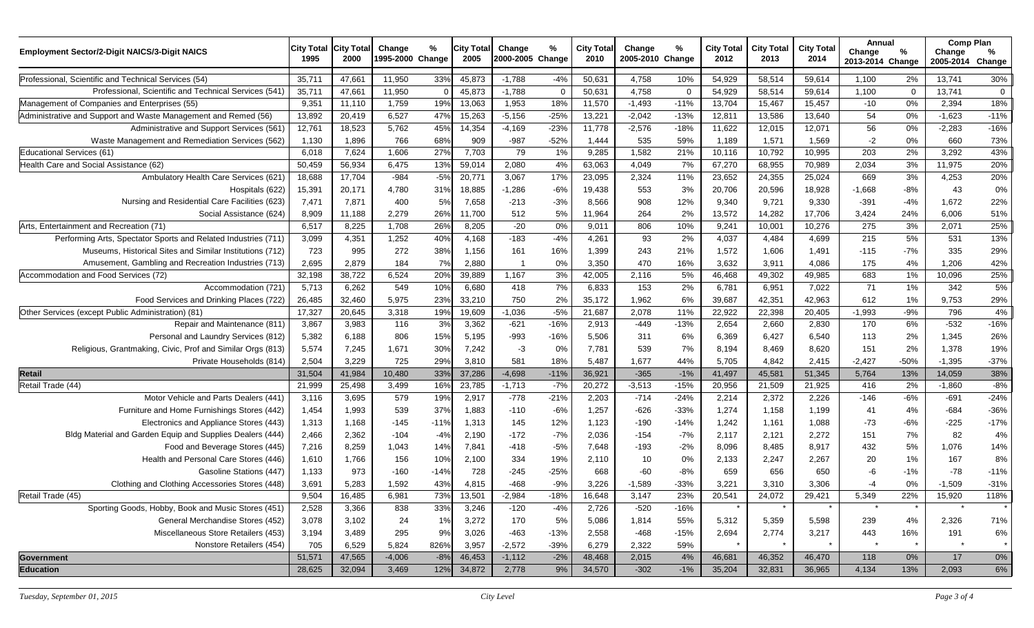| <b>Employment Sector/2-Digit NAICS/3-Digit NAICS</b>           | <b>City Total</b><br>1995 | <b>City Total</b><br>2000 | Change<br>1995-2000 Change | %      | <b>City Total</b><br>2005 | Change<br>2000-2005 Change | %           | <b>City Total</b><br>2010 | Change<br>2005-2010 Change | %           | <b>City Total</b><br>2012 | <b>City Total</b><br>2013 | <b>City Total</b><br>2014 | Annual<br>Change<br>2013-2014 Change | %           | <b>Comp Plan</b><br>Change<br>2005-2014 Change | %           |
|----------------------------------------------------------------|---------------------------|---------------------------|----------------------------|--------|---------------------------|----------------------------|-------------|---------------------------|----------------------------|-------------|---------------------------|---------------------------|---------------------------|--------------------------------------|-------------|------------------------------------------------|-------------|
| Professional, Scientific and Technical Services (54)           | 35,711                    | 47,661                    | 11,950                     | 33%    | 45,873                    | $-1,788$                   | $-4%$       | 50,631                    | 4,758                      | 10%         | 54,929                    | 58,514                    | 59,614                    | 1,100                                | 2%          | 13,741                                         | 30%         |
| Professional, Scientific and Technical Services (541)          | 35,711                    | 47,661                    | 11,950                     |        | 45,873                    | $-1,788$                   | $\mathbf 0$ | 50,631                    | 4,758                      | $\mathbf 0$ | 54,929                    | 58,514                    | 59,614                    | 1,100                                | $\mathbf 0$ | 13,741                                         | $\mathbf 0$ |
| Management of Companies and Enterprises (55)                   | 9,351                     | 11,110                    | 1,759                      | 19%    | 13,063                    | 1,953                      | 18%         | 11,570                    | $-1,493$                   | $-11%$      | 13,704                    | 15,467                    | 15,457                    | $-10$                                | 0%          | 2,394                                          | 18%         |
| Administrative and Support and Waste Management and Remed (56) | 13,892                    | 20,419                    | 6,527                      | 47%    | 15,263                    | $-5,156$                   | $-25%$      | 13,221                    | $-2,042$                   | $-13%$      | 12,811                    | 13,586                    | 13,640                    | 54                                   | 0%          | $-1,623$                                       | $-11%$      |
| Administrative and Support Services (561)                      | 12,761                    | 18,523                    | 5,762                      | 45%    | 14,354                    | $-4,169$                   | $-23%$      | 11,778                    | $-2,576$                   | $-18%$      | 11,622                    | 12,015                    | 12,071                    | 56                                   | 0%          | $-2,283$                                       | $-16%$      |
| Waste Management and Remediation Services (562)                | 1,130                     | 1,896                     | 766                        | 68%    | 909                       | $-987$                     | $-52%$      | 1,444                     | 535                        | 59%         | 1,189                     | 1,571                     | 1,569                     | $-2$                                 | 0%          | 660                                            | 73%         |
| Educational Services (61)                                      | 6,018                     | 7,624                     | 1,606                      | 27%    | 7,703                     | 79                         | 1%          | 9,285                     | 1,582                      | 21%         | 10,116                    | 10,792                    | 10,995                    | 203                                  | 2%          | 3,292                                          | 43%         |
| Health Care and Social Assistance (62)                         | 50,459                    | 56,934                    | 6,475                      | 13%    | 59,014                    | 2,080                      | 4%          | 63,063                    | 4,049                      | 7%          | 67,270                    | 68,955                    | 70,989                    | 2,034                                | 3%          | 11,975                                         | 20%         |
| Ambulatory Health Care Services (621)                          | 18,688                    | 17,704                    | $-984$                     | $-5%$  | 20,771                    | 3,067                      | 17%         | 23,095                    | 2,324                      | 11%         | 23,652                    | 24,355                    | 25,024                    | 669                                  | 3%          | 4,253                                          | 20%         |
| Hospitals (622)                                                | 15,391                    | 20,171                    | 4,780                      | 319    | 18,885                    | $-1,286$                   | $-6%$       | 19,438                    | 553                        | $3%$        | 20,706                    | 20,596                    | 18,928                    | $-1,668$                             | $-8%$       | 43                                             | 0%          |
| Nursing and Residential Care Facilities (623)                  | 7,471                     | 7,871                     | 400                        | 5%     | 7,658                     | $-213$                     | $-3%$       | 8,566                     | 908                        | 12%         | 9,340                     | 9,721                     | 9,330                     | $-391$                               | $-4%$       | 1,672                                          | 22%         |
| Social Assistance (624)                                        | 8,909                     | 11,188                    | 2,279                      | 26%    | 11,700                    | 512                        | 5%          | 11,964                    | 264                        | 2%          | 13,572                    | 14,282                    | 17,706                    | 3,424                                | 24%         | 6,006                                          | 51%         |
| Arts, Entertainment and Recreation (71)                        | 6,517                     | 8,225                     | 1,708                      | 26%    | 8,205                     | $-20$                      | 0%          | 9,011                     | 806                        | 10%         | 9,241                     | 10,001                    | 10,276                    | 275                                  | 3%          | 2,071                                          | 25%         |
| Performing Arts, Spectator Sports and Related Industries (711) | 3,099                     | 4,351                     | 1,252                      | 40%    | 4,168                     | $-183$                     | $-4%$       | 4,261                     | 93                         | 2%          | 4,037                     | 4,484                     | 4,699                     | 215                                  | 5%          | 531                                            | 13%         |
| Museums, Historical Sites and Similar Institutions (712)       | 723                       | 995                       | 272                        | 38%    | 1,156                     | 161                        | 16%         | 1,399                     | 243                        | 21%         | 1,572                     | 1,606                     | 1,491                     | $-115$                               | $-7%$       | 335                                            | 29%         |
| Amusement, Gambling and Recreation Industries (713)            | 2,695                     | 2,879                     | 184                        | 7%     | 2,880                     |                            | 0%          | 3,350                     | 470                        | 16%         | 3,632                     | 3,911                     | 4,086                     | 175                                  | 4%          | 1,206                                          | 42%         |
| Accommodation and Food Services (72)                           | 32,198                    | 38,722                    | 6,524                      | 20%    | 39,889                    | 1,167                      | 3%          | 42,005                    | 2,116                      | 5%          | 46,468                    | 49,302                    | 49,985                    | 683                                  | $1\%$       | 10,096                                         | 25%         |
| Accommodation (721)                                            | 5,713                     | 6,262                     | 549                        | 10%    | 6,680                     | 418                        | 7%          | 6,833                     | 153                        | 2%          | 6,781                     | 6,951                     | 7,022                     | 71                                   | 1%          | 342                                            | 5%          |
| Food Services and Drinking Places (722)                        | 26,485                    | 32,460                    | 5,975                      | 23%    | 33,210                    | 750                        | 2%          | 35,172                    | 1,962                      | 6%          | 39,687                    | 42,351                    | 42,963                    | 612                                  | 1%          | 9,753                                          | 29%         |
| Other Services (except Public Administration) (81)             | 17,327                    | 20,645                    | 3,318                      | 19%    | 19,609                    | $-1,036$                   | $-5%$       | 21,687                    | 2,078                      | 11%         | 22,922                    | 22,398                    | 20,405                    | $-1,993$                             | $-9%$       | 796                                            | 4%          |
| Repair and Maintenance (811)                                   | 3,867                     | 3,983                     | 116                        | 3%     | 3,362                     | $-621$                     | $-16%$      | 2,913                     | $-449$                     | $-13%$      | 2,654                     | 2,660                     | 2,830                     | 170                                  | 6%          | $-532$                                         | $-16%$      |
| Personal and Laundry Services (812)                            | 5,382                     | 6,188                     | 806                        | 15%    | 5,195                     | $-993$                     | $-16%$      | 5,506                     | 311                        | 6%          | 6,369                     | 6,427                     | 6,540                     | 113                                  | 2%          | 1,345                                          | 26%         |
| Religious, Grantmaking, Civic, Prof and Similar Orgs (813)     | 5,574                     | 7,245                     | 1,671                      | 30%    | 7,242                     | $-3$                       | 0%          | 7,781                     | 539                        | 7%          | 8,194                     | 8,469                     | 8,620                     | 151                                  | 2%          | 1,378                                          | 19%         |
| Private Households (814)                                       | 2,504                     | 3,229                     | 725                        | 29%    | 3,810                     | 581                        | 18%         | 5,487                     | 1,677                      | 44%         | 5,705                     | 4,842                     | 2,415                     | $-2,427$                             | $-50%$      | $-1,395$                                       | $-37%$      |
| <b>Retail</b>                                                  | 31,504                    | 41,984                    | 10,480                     | 33%    | 37,286                    | $-4,698$                   | $-11%$      | 36,921                    | $-365$                     | $-1%$       | 41,497                    | 45,581                    | 51,345                    | 5,764                                | 13%         | 14,059                                         | 38%         |
| Retail Trade (44)                                              | 21,999                    | 25,498                    | 3,499                      | 16%    | 23,785                    | $-1,713$                   | $-7%$       | 20,272                    | $-3,513$                   | $-15%$      | 20,956                    | 21,509                    | 21,925                    | 416                                  | 2%          | $-1,860$                                       | $-8%$       |
| Motor Vehicle and Parts Dealers (441)                          | 3,116                     | 3,695                     | 579                        | 19%    | 2,917                     | $-778$                     | $-21%$      | 2,203                     | $-714$                     | $-24%$      | 2,214                     | 2,372                     | 2,226                     | $-146$                               | $-6%$       | $-691$                                         | $-24%$      |
| Furniture and Home Furnishings Stores (442)                    | 1,454                     | 1,993                     | 539                        | 37%    | 1,883                     | $-110$                     | $-6%$       | 1,257                     | $-626$                     | $-33%$      | 1,274                     | 1,158                     | 1,199                     | 41                                   | 4%          | $-684$                                         | $-36%$      |
| Electronics and Appliance Stores (443)                         | 1,313                     | 1,168                     | $-145$                     | $-11%$ | 1,313                     | 145                        | 12%         | 1,123                     | $-190$                     | $-14%$      | 1,242                     | 1,161                     | 1,088                     | $-73$                                | $-6%$       | $-225$                                         | $-17%$      |
| Bldg Material and Garden Equip and Supplies Dealers (444)      | 2,466                     | 2,362                     | $-104$                     | $-4%$  | 2,190                     | $-172$                     | $-7%$       | 2,036                     | $-154$                     | $-7%$       | 2,117                     | 2,121                     | 2,272                     | 151                                  | 7%          | 82                                             | 4%          |
| Food and Beverage Stores (445)                                 | 7,216                     | 8,259                     | 1,043                      | 14%    | 7,841                     | $-418$                     | $-5%$       | 7,648                     | $-193$                     | $-2%$       | 8,096                     | 8,485                     | 8,917                     | 432                                  | 5%          | 1,076                                          | 14%         |
| Health and Personal Care Stores (446)                          | 1,610                     | 1,766                     | 156                        | 10%    | 2,100                     | 334                        | 19%         | 2,110                     | 10                         | 0%          | 2,133                     | 2,247                     | 2,267                     | 20                                   | 1%          | 167                                            | 8%          |
| Gasoline Stations (447)                                        | 1,133                     | 973                       | $-160$                     | $-14%$ | 728                       | $-245$                     | $-25%$      | 668                       | $-60$                      | $-8%$       | 659                       | 656                       | 650                       | -6                                   | $-1%$       | $-78$                                          | $-11%$      |
| Clothing and Clothing Accessories Stores (448)                 | 3,691                     | 5,283                     | 1,592                      | 43%    | 4,815                     | $-468$                     | $-9%$       | 3,226                     | $-1,589$                   | $-33%$      | 3,221                     | 3,310                     | 3,306                     | -4                                   | $0\%$       | $-1,509$                                       | $-31%$      |
| Retail Trade (45)                                              | 9,504                     | 16,485                    | 6,981                      | 73%    | 13,501                    | $-2,984$                   | $-18%$      | 16,648                    | 3,147                      | 23%         | 20,541                    | 24,072                    | 29,421                    | 5,349                                | 22%         | 15,920                                         | 118%        |
| Sporting Goods, Hobby, Book and Music Stores (451)             | 2,528                     | 3,366                     | 838                        | 33%    | 3,246                     | $-120$                     | $-4%$       | 2,726                     | $-520$                     | $-16%$      |                           |                           |                           |                                      | $\star$     |                                                |             |
| General Merchandise Stores (452)                               | 3,078                     | 3,102                     | 24                         | 1%     | 3,272                     | 170                        | 5%          | 5,086                     | 1,814                      | 55%         | 5,312                     | 5,359                     | 5,598                     | 239                                  | 4%          | 2,326                                          | 71%         |
| Miscellaneous Store Retailers (453)                            | 3,194                     | 3,489                     | 295                        | 9%     | 3,026                     | $-463$                     | $-13%$      | 2,558                     | $-468$                     | $-15%$      | 2,694                     | 2,774                     | 3,217                     | 443                                  | 16%         | 191                                            | 6%          |
| Nonstore Retailers (454)                                       | 705                       | 6,529                     | 5,824                      | 826%   | 3,957                     | $-2,572$                   | $-39%$      | 6,279                     | 2,322                      | 59%         |                           |                           |                           |                                      |             |                                                |             |
| Government                                                     | 51,571                    | 47,565                    | $-4,006$                   | $-8%$  | 46,453                    | $-1,112$                   | $-2%$       | 48,468                    | 2,015                      | 4%          | 46,681                    | 46,352                    | 46,470                    | 118                                  | 0%          | 17                                             | $0\%$       |
| <b>Education</b>                                               | 28,625                    | 32,094                    | 3,469                      | 12%    | 34,872                    | 2,778                      | 9%          | 34,570                    | $-302$                     | $-1%$       | 35,204                    | 32,831                    | 36,965                    | 4,134                                | 13%         | 2,093                                          | $6\%$       |